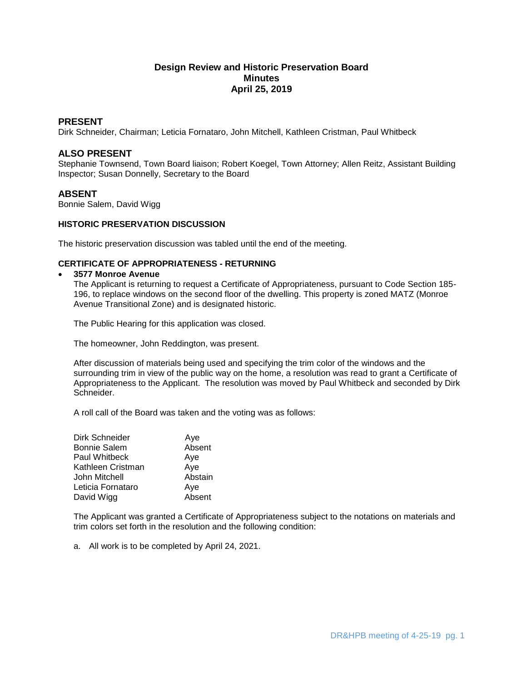# **Design Review and Historic Preservation Board Minutes April 25, 2019**

## **PRESENT**

Dirk Schneider, Chairman; Leticia Fornataro, John Mitchell, Kathleen Cristman, Paul Whitbeck

# **ALSO PRESENT**

Stephanie Townsend, Town Board liaison; Robert Koegel, Town Attorney; Allen Reitz, Assistant Building Inspector; Susan Donnelly, Secretary to the Board

## **ABSENT**

Bonnie Salem, David Wigg

## **HISTORIC PRESERVATION DISCUSSION**

The historic preservation discussion was tabled until the end of the meeting.

## **CERTIFICATE OF APPROPRIATENESS - RETURNING**

#### **3577 Monroe Avenue**

The Applicant is returning to request a Certificate of Appropriateness, pursuant to Code Section 185- 196, to replace windows on the second floor of the dwelling. This property is zoned MATZ (Monroe Avenue Transitional Zone) and is designated historic.

The Public Hearing for this application was closed.

The homeowner, John Reddington, was present.

After discussion of materials being used and specifying the trim color of the windows and the surrounding trim in view of the public way on the home, a resolution was read to grant a Certificate of Appropriateness to the Applicant. The resolution was moved by Paul Whitbeck and seconded by Dirk Schneider.

A roll call of the Board was taken and the voting was as follows:

| Dirk Schneider      | Aye     |
|---------------------|---------|
| <b>Bonnie Salem</b> | Absent  |
| Paul Whitbeck       | Aye     |
| Kathleen Cristman   | Aye     |
| John Mitchell       | Abstain |
| Leticia Fornataro   | Aye     |
| David Wigg          | Absent  |

The Applicant was granted a Certificate of Appropriateness subject to the notations on materials and trim colors set forth in the resolution and the following condition:

a. All work is to be completed by April 24, 2021.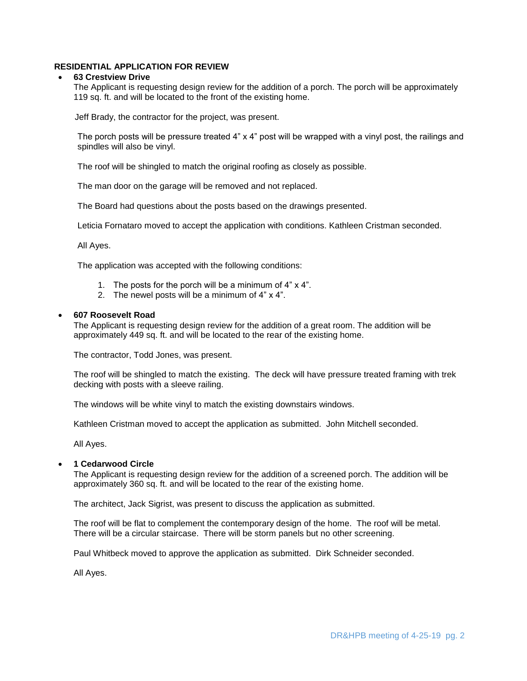## **RESIDENTIAL APPLICATION FOR REVIEW**

#### **63 Crestview Drive**

The Applicant is requesting design review for the addition of a porch. The porch will be approximately 119 sq. ft. and will be located to the front of the existing home.

Jeff Brady, the contractor for the project, was present.

The porch posts will be pressure treated 4" x 4" post will be wrapped with a vinyl post, the railings and spindles will also be vinyl.

The roof will be shingled to match the original roofing as closely as possible.

The man door on the garage will be removed and not replaced.

The Board had questions about the posts based on the drawings presented.

Leticia Fornataro moved to accept the application with conditions. Kathleen Cristman seconded.

All Ayes.

The application was accepted with the following conditions:

- 1. The posts for the porch will be a minimum of 4" x 4".
- 2. The newel posts will be a minimum of 4" x 4".

#### **607 Roosevelt Road**

The Applicant is requesting design review for the addition of a great room. The addition will be approximately 449 sq. ft. and will be located to the rear of the existing home.

The contractor, Todd Jones, was present.

The roof will be shingled to match the existing. The deck will have pressure treated framing with trek decking with posts with a sleeve railing.

The windows will be white vinyl to match the existing downstairs windows.

Kathleen Cristman moved to accept the application as submitted. John Mitchell seconded.

All Ayes.

## **1 Cedarwood Circle**

The Applicant is requesting design review for the addition of a screened porch. The addition will be approximately 360 sq. ft. and will be located to the rear of the existing home.

The architect, Jack Sigrist, was present to discuss the application as submitted.

The roof will be flat to complement the contemporary design of the home. The roof will be metal. There will be a circular staircase. There will be storm panels but no other screening.

Paul Whitbeck moved to approve the application as submitted. Dirk Schneider seconded.

All Ayes.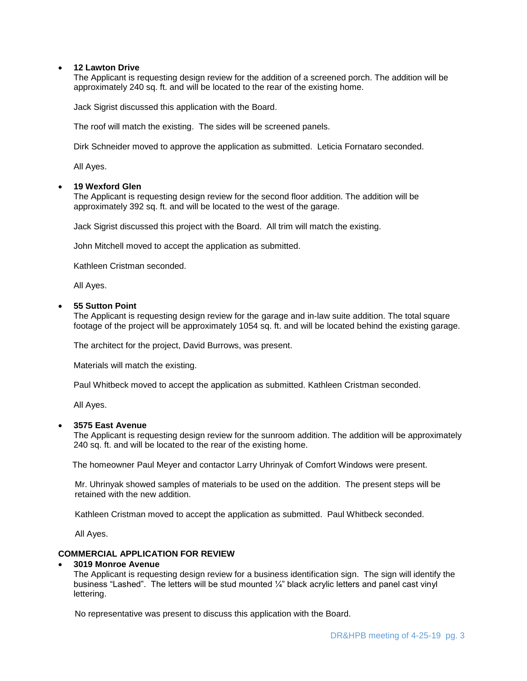## **12 Lawton Drive**

The Applicant is requesting design review for the addition of a screened porch. The addition will be approximately 240 sq. ft. and will be located to the rear of the existing home.

Jack Sigrist discussed this application with the Board.

The roof will match the existing. The sides will be screened panels.

Dirk Schneider moved to approve the application as submitted. Leticia Fornataro seconded.

All Ayes.

#### **19 Wexford Glen**

The Applicant is requesting design review for the second floor addition. The addition will be approximately 392 sq. ft. and will be located to the west of the garage.

Jack Sigrist discussed this project with the Board. All trim will match the existing.

John Mitchell moved to accept the application as submitted.

Kathleen Cristman seconded.

All Ayes.

#### **55 Sutton Point**

The Applicant is requesting design review for the garage and in-law suite addition. The total square footage of the project will be approximately 1054 sq. ft. and will be located behind the existing garage.

The architect for the project, David Burrows, was present.

Materials will match the existing.

Paul Whitbeck moved to accept the application as submitted. Kathleen Cristman seconded.

All Ayes.

## **3575 East Avenue**

The Applicant is requesting design review for the sunroom addition. The addition will be approximately 240 sq. ft. and will be located to the rear of the existing home.

The homeowner Paul Meyer and contactor Larry Uhrinyak of Comfort Windows were present.

 Mr. Uhrinyak showed samples of materials to be used on the addition. The present steps will be retained with the new addition.

Kathleen Cristman moved to accept the application as submitted. Paul Whitbeck seconded.

All Ayes.

## **COMMERCIAL APPLICATION FOR REVIEW**

#### **3019 Monroe Avenue**

The Applicant is requesting design review for a business identification sign. The sign will identify the business "Lashed". The letters will be stud mounted ¼" black acrylic letters and panel cast vinyl lettering.

No representative was present to discuss this application with the Board.